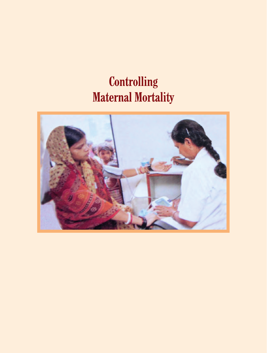# **Controlling Maternal Mortality**

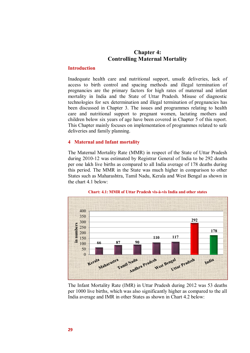# **Chapter 4: Controlling Maternal Mortality**

# **Introduction**

Inadequate health care and nutritional support, unsafe deliveries, lack of access to birth control and spacing methods and illegal termination of pregnancies are the primary factors for high rates of maternal and infant mortality in India and the State of Uttar Pradesh. Misuse of diagnostic technologies for sex determination and illegal termination of pregnancies has been discussed in Chapter 3. The issues and programmes relating to health care and nutritional support to pregnant women, lactating mothers and children below six years of age have been covered in Chapter 5 of this report. This Chapter mainly focuses on implementation of programmes related to safe deliveries and family planning.

## **4 Maternal and Infant mortality**

The Maternal Mortality Rate (MMR) in respect of the State of Uttar Pradesh during 2010-12 was estimated by Registrar General of India to be 292 deaths per one lakh live births as compared to all India average of 178 deaths during this period. The MMR in the State was much higher in comparison to other States such as Maharashtra, Tamil Nadu, Kerala and West Bengal as shown in the chart 4.1 below:



**Chart: 4.1: MMR of Uttar Pradesh vis-à-vis India and other states** 

The Infant Mortality Rate (IMR) in Uttar Pradesh during 2012 was 53 deaths per 1000 live births, which was also significantly higher as compared to the all India average and IMR in other States as shown in Chart 4.2 below: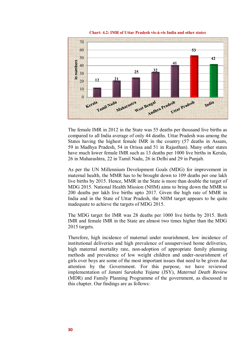

**Chart: 4.2: IMR of Uttar Pradesh vis-à-vis India and other states**

The female IMR in 2012 in the State was 55 deaths per thousand live births as compared to all India average of only 44 deaths. Uttar Pradesh was among the States having the highest female IMR in the country (57 deaths in Assam, 59 in Madhya Pradesh, 54 in Orissa and 51 in Rajasthan). Many other states have much lower female IMR such as 13 deaths per 1000 live births in Kerala, 26 in Maharashtra, 22 in Tamil Nadu, 26 in Delhi and 29 in Punjab.

As per the UN Millennium Development Goals (MDG) for improvement in maternal health, the MMR has to be brought down to 109 deaths per one lakh live births by 2015. Hence, MMR in the State is more than double the target of MDG 2015. National Health Mission (NHM) aims to bring down the MMR to 200 deaths per lakh live births upto 2017. Given the high rate of MMR in India and in the State of Uttar Pradesh, the NHM target appears to be quite inadequate to achieve the targets of MDG 2015.

The MDG target for IMR was 28 deaths per 1000 live births by 2015. Both IMR and female IMR in the State are almost two times higher than the MDG 2015 targets.

Therefore, high incidence of maternal under nourishment, low incidence of institutional deliveries and high prevalence of unsupervised home deliveries, high maternal mortality rate, non-adoption of appropriate family planning methods and prevalence of low weight children and under-nourishment of girls over boys are some of the most important issues that need to be given due attention by the Government. For this purpose, we have reviewed implementation of *Janani Suraksha Yojana* (JSY), *Maternal Death Review*  (MDR) and Family Planning Programme of the government, as discussed in this chapter. Our findings are as follows: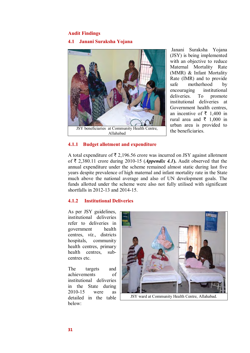# **Audit Findings**

# **4.1 Janani Suraksha Yojana**



**4.1.1 Budget allotment and expenditure** 

 Janani Suraksha Yojana (JSY) is being implemented with an objective to reduce Maternal Mortality Rate (MMR) & Infant Mortality Rate (IMR) and to provide safe motherhood by encouraging institutional<br>deliveries. To promote deliveries. To promote institutional deliveries at Government health centres, an incentive of  $\bar{\tau}$  1,400 in rural area and  $\bar{\tau}$  1,000 in urban area is provided to the beneficiaries.

A total expenditure of  $\bar{\tau}$  2,196.56 crore was incurred on JSY against allotment of  $\bar{\tau}$  2,380.11 crore during 2010-15 (*Appendix 4.1*). Audit observed that the annual expenditure under the scheme remained almost static during last five years despite prevalence of high maternal and infant mortality rate in the State much above the national average and also of UN development goals. The funds allotted under the scheme were also not fully utilised with significant shortfalls in 2012-13 and 2014-15.

# **4.1.2 Institutional Deliveries**

As per JSY guidelines, institutional deliveries refer to deliveries in government health centres, *viz*., districts hospitals, community health centres, primary health centres, subcentres etc.

The targets and achievements of institutional deliveries in the State during 2010-15 were as detailed in the table below:



JSY ward at Community Health Centre, Allahabad.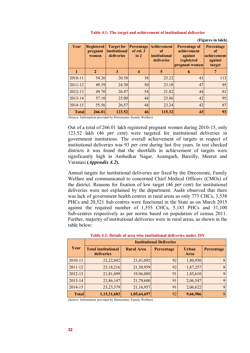| Year         | <b>Registered</b><br>pregnant<br>women | <b>Target for</b><br><i>institutional</i><br>deliveries | Percentage<br>of col. 3<br>to $2$ | <b>Achievement</b><br>of<br><i>institutional</i><br>deliveries | <b>Percentage of</b><br>achievement<br>against<br>registered<br>pregnant women | (гічшся пі іакіі)<br>Percentage<br>of<br>achievement<br>against<br>target |
|--------------|----------------------------------------|---------------------------------------------------------|-----------------------------------|----------------------------------------------------------------|--------------------------------------------------------------------------------|---------------------------------------------------------------------------|
|              | $\mathbf{2}$                           | 3                                                       | 4                                 | 5                                                              | 6                                                                              |                                                                           |
| 2010-11      | 54.26                                  | 20.58                                                   | 38                                | 23.22                                                          | 43                                                                             | 113                                                                       |
| $2011 - 12$  | 49.39                                  | 24.50                                                   | 50                                | 23.18                                                          | 47                                                                             | 95                                                                        |
| 2012-13      | 49.70                                  | 26.87                                                   | 54                                | 21.82                                                          | 44                                                                             | 81                                                                        |
| $2013 - 14$  | 57.10                                  | 25.00                                                   | 44                                | 23.86                                                          | 42                                                                             | 95                                                                        |
| 2014-15      | 55.56                                  | 26.57                                                   | 48                                | 23.24                                                          | 42                                                                             | 87                                                                        |
| <b>Total</b> | 266.01                                 | 123.52                                                  | 46                                | 115.32                                                         | 43                                                                             | 93                                                                        |

#### **Table 4.1: The target and achievement of institutional deliveries**

**(Figures in lakh)** 

(Source: Information provided by Directorate, Family Welfare)

Out of a total of 266.01 lakh registered pregnant women during 2010-15, only 123.52 lakh (46 *per cent*) were targeted for institutional deliveries in government institutions. The overall achievement of targets in respect of institutional deliveries was 93 *per cent* during last five years. In test checked districts it was found that the shortfalls in achievement of targets were significantly high in Ambedkar Nagar, Azamgarh, Bareilly, Meerut and Varanasi **(***Appendix 4.2***).**

Annual targets for institutional deliveries are fixed by the Directorate, Family Welfare and communicated to concerned Chief Medical Officers (CMOs) of the district. Reasons for fixation of low target (46 *per cent*) for institutional deliveries were not explained by the department. Audit observed that there was lack of government health centres in rural areas as only 773 CHCs, 3,538 PHCs and 20,521 Sub centres were functional in the State as on March 2015 against the required number of 1,555 CHCs, 5,183 PHCs and 31,100 Sub-centres respectively as per norms based on population of census 2011. Further, majority of institutional deliveries were in rural areas, as shown in the table below:

| Year         | <b>Institutional Deliveries</b>          |                   |            |                      |            |  |
|--------------|------------------------------------------|-------------------|------------|----------------------|------------|--|
|              | <b>Total institutional</b><br>deliveries | <b>Rural Area</b> | Percentage | <b>Urban</b><br>Area | Percentage |  |
| 2010-11      | 23,22,042                                | 21,41,092         | 92         | 1,80,950             | 8          |  |
| $2011 - 12$  | 23,18,216                                | 21,30,959         | 92         | 1,87,257             | 8          |  |
| 2012-13      | 21,81,699                                | 19,96,089         | 91         | 1,85,610             | 9          |  |
| 2013-14      | 23,86,147                                | 21,79,600         | 91         | 2,06,547             | 9          |  |
| 2014-15      | 23, 23, 579                              | 21,16,957         | 91         | 2,06,622             | 9          |  |
| <b>Total</b> | 1,15,31,683                              | 1,05,64,697       | 92         | 9,66,986             | 8          |  |

**Table 4.2: Details of area wise institutional deliveries under JSY**

(Source: Information provided by Directorate, Family Welfare)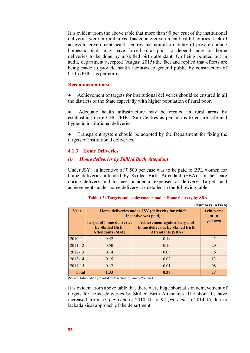It is evident from the above table that more than 90 *per cent* of the institutional deliveries were in rural areas. Inadequate government health facilities, lack of access to government health centres and non-affordability of private nursing homes/hospitals may have forced rural poor to depend more on home deliveries to be done by unskilled birth attendant. On being pointed out in audit, department accepted (August 2015) the fact and replied that efforts are being made to provide health facilities to general public by construction of CHCs/PHCs as per norms.

# **Recommendations:**

Achievement of targets for institutional deliveries should be ensured in all the districts of the State especially with higher population of rural poor.

Adequate health infrastructure may be created in rural areas by establishing more CHCs/PHCs/Sub-Centres as per norms to ensure safe and hygienic institutional deliveries.

Transparent system should be adopted by the Department for fixing the targets of institutional deliveries.

# **4.1.3 Home Deliveries**

## *(i) Home deliveries by Skilled Birth Attendant*

Under JSY, an incentive of  $\bar{\tau}$  500 per case was to be paid to BPL women for home deliveries attended by Skilled Birth Attendant (SBA), for her care during delivery and to meet incidental expenses of delivery. Targets and achievements under home delivery are detailed in the following table:

| (Numbers in lakh) |                                                                                 |                                                                                                     |          |  |  |  |
|-------------------|---------------------------------------------------------------------------------|-----------------------------------------------------------------------------------------------------|----------|--|--|--|
| Year              | Home deliveries under JSY (deliveries for which<br>incentive was paid)          | <b>Achieveme</b><br>nt in                                                                           |          |  |  |  |
|                   | <b>Target of home deliveries</b><br>by Skilled Birth<br><b>Attendants (SBA)</b> | <b>Achievement against Target of</b><br>home deliveries by Skilled Birth<br><b>Attendants (SBA)</b> | per cent |  |  |  |
| 2010-11           | 0.42                                                                            | 0.19                                                                                                | 45       |  |  |  |
| $2011 - 12$       | 0.50                                                                            | 0.10                                                                                                | 20       |  |  |  |
| 2012-13           | 0.14                                                                            | 0.05                                                                                                | 36       |  |  |  |
| 2013-14           | 0.15                                                                            | 0.02                                                                                                | 13       |  |  |  |
| 2014-15           | 0.12                                                                            | 0.01                                                                                                | 08       |  |  |  |
| <b>Total</b>      | 1.33                                                                            | 0.37                                                                                                | 28       |  |  |  |

## **Table 4.3: Targets and achievements under Home delivery by SBA**

(Source: Information provided by Directorate, Family Welfare)

It is evident from above table that there were huge shortfalls in achievement of targets for home deliveries by Skilled Birth Attendants. The shortfalls have increased from 55 *per cent* in 2010-11 to 92 *per cent* in 2014-15 due to lackadaisical approach of the department.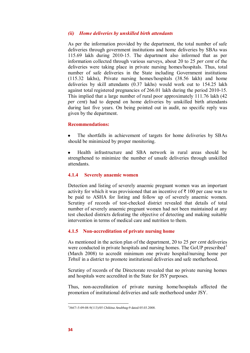# *(ii) Home deliveries by unskilled birth attendants*

As per the information provided by the department, the total number of safe deliveries through government institutions and home deliveries by SBAs was 115.69 lakh during 2010-15. The department also informed that as per information collected through various surveys, about 20 to 25 *per cent* of the deliveries were taking place in private nursing homes/hospitals. Thus, total number of safe deliveries in the State including Government institutions (115.32 lakhs), Private nursing homes/hospitals (38.56 lakh) and home deliveries by skill attendants (0.37 lakhs) would work out to 154.25 lakh against total registered pregnancies of 266.01 lakh during the period 2010-15. This implied that a large number of rural poor approximately 111.76 lakh (42 *per cent*) had to depend on home deliveries by unskilled birth attendants during last five years. On being pointed out in audit, no specific reply was given by the department.

## **Recommendations:**

The shortfalls in achievement of targets for home deliveries by SBAs should be minimized by proper monitoring.

Health infrastructure and SBA network in rural areas should be strengthened to minimize the number of unsafe deliveries through unskilled attendants.

#### **4.1.4 Severely anaemic women**

Detection and listing of severely anaemic pregnant women was an important activity for which it was provisioned that an incentive of  $\bar{\tau}$  100 per case was to be paid to ASHA for listing and follow up of severely anaemic women. Scrutiny of records of test-checked district revealed that details of total number of severely anaemic pregnant women had not been maintained at any test checked districts defeating the objective of detecting and making suitable intervention in terms of medical care and nutrition to them.

## **4.1.5 Non-accreditation of private nursing home**

As mentioned in the action plan of the department, 20 to 25 *per cent* deliveries were conducted in private hospitals and nursing homes. The GoUP prescribed<sup>1</sup> (March 2008) to accredit minimum one private hospital/nursing home per *Tehsil* in a district to promote institutional deliveries and safe motherhood.

Scrutiny of records of the Directorate revealed that no private nursing homes and hospitals were accredited in the State for JSY purposes.

Thus, non-accreditation of private nursing home/hospitals affected the promotion of institutional deliveries and safe motherhood under JSY.

 1 3667/-5-09-08-9(113)/05 *Chikitsa Anubhag*-9 dated 05.03.2008.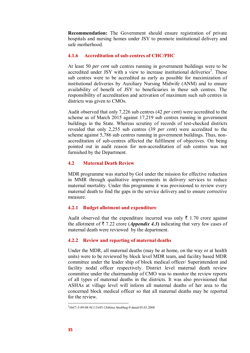**Recommendation:** The Government should ensure registration of private hospitals and nursing homes under JSY to promote institutional delivery and safe motherhood.

## **4.1.6 Accreditation of sub-centres of CHC/PHC**

At least 50 *per cent* sub centres running in government buildings were to be accredited under JSY with a view to increase institutional deliveries<sup>2</sup>. These sub centres were to be accredited as early as possible for maximization of institutional deliveries by Auxiliary Nursing Midwife (ANM) and to ensure availability of benefit of JSY to beneficiaries in these sub centres. The responsibility of accreditation and activation of maximum such sub centres in districts was given to CMOs.

Audit observed that only 7,226 sub centres (42 *per cent*) were accredited to the scheme as of March 2015 against 17,219 sub centres running in government buildings in the State. Whereas scrutiny of records of test-checked districts revealed that only 2,255 sub centres (39 *per cent*) were accredited to the scheme against 5,786 sub centres running in government buildings. Thus, nonaccreditation of sub-centres affected the fulfilment of objectives. On being pointed out in audit reason for non-accreditation of sub centres was not furnished by the Department.

# **4.2 Maternal Death Review**

MDR programme was started by GoI under the mission for effective reduction in MMR through qualitative improvements in delivery services to reduce maternal mortality. Under this programme it was provisioned to review every maternal death to find the gaps in the service delivery and to ensure corrective measure.

# **4.2.1 Budget allotment and expenditure**

Audit observed that the expenditure incurred was only  $\bar{\tau}$  1.70 crore against the allotment of  $\bar{\tau}$  7.22 crore (*Appendix 4.3*) indicating that very few cases of maternal death were reviewed by the department.

# **4.2.2 Review and reporting of maternal deaths**

Under the MDR, all maternal deaths (may be at home, on the way or at health units) were to be reviewed by block level MDR team, and facility based MDR committee under the leader ship of block medical officer/ Superintendent and facility nodal officer respectively. District level maternal death review committee under the chairmanship of CMO was to monitor the review reports of all types of maternal deaths in the districts. It was also provisioned that ASHAs at village level will inform all maternal deaths of her area to the concerned block medical officer so that all maternal deaths may be reported for the review.

-

<sup>2</sup> 3667/-5-09-08-9(113)/05 *Chikitsa Anubhag*-9 dated 05.03.2008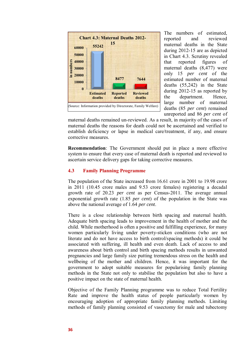

The numbers of estimated, reported and reviewed maternal deaths in the State during 2012-15 are as depicted in Chart 4.3. Scrutiny revealed that reported figures of maternal deaths (8,477) were only 15 *per cent* of the estimated number of maternal deaths (55,242) in the State during 2012-15 as reported by the department. Hence, large number of maternal deaths (85 *per cent*) remained unreported and 86 *per cent* of

maternal deaths remained un-reviewed. As a result, in majority of the cases of maternal deaths the reasons for death could not be ascertained and verified to establish deficiency or lapse in medical care/treatment, if any, and ensure corrective measures.

**Recommendation**: The Government should put in place a more effective system to ensure that every case of maternal death is reported and reviewed to ascertain service delivery gaps for taking corrective measures.

# **4.3 Family Planning Programme**

The population of the State increased from 16.61 crore in 2001 to 19.98 crore in 2011 (10.45 crore males and 9.53 crore females) registering a decadal growth rate of 20.23 *per cent* as per Census-2011. The average annual exponential growth rate (1.85 *per cent*) of the population in the State was above the national average of 1.64 *per cent*.

There is a close relationship between birth spacing and maternal health. Adequate birth spacing leads to improvement in the health of mother and the child. While motherhood is often a positive and fulfilling experience, for many women particularly living under poverty-sticken conditions (who are not literate and do not have access to birth control/spacing methods) it could be associated with suffering, ill health and even death. Lack of access to and awareness about birth control and birth spacing methods results in unwanted pregnancies and large family size putting tremendous stress on the health and wellbeing of the mother and children. Hence, it was important for the government to adopt suitable measures for popularising family planning methods in the State not only to stabilise the population but also to have a positive impact on the state of maternal health.

Objective of the Family Planning programme was to reduce Total Fertility Rate and improve the health status of people particularly women by encouraging adoption of appropriate family planning methods. Limiting methods of family planning consisted of vasectomy for male and tubectomy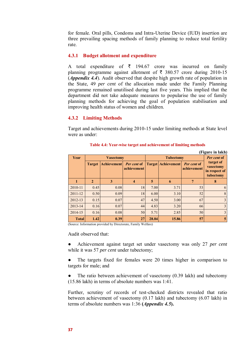for female. Oral pills, Condoms and Intra-Uterine Device (IUD) insertion are three prevailing spacing methods of family planning to reduce total fertility rate.

## **4.3.1 Budget allotment and expenditure**

A total expenditure of  $\bar{\tau}$  194.67 crore was incurred on family planning programme against allotment of  $\bar{\tau}$  380.57 crore during 2010-15 (*Appendix 4.4*). Audit observed that despite high growth rate of population in the State, 49 *per cent* of the allocation made under the Family Planning programme remained unutilised during last five years. This implied that the department did not take adequate measures to popularise the use of family planning methods for achieving the goal of population stabilisation and improving health status of women and children.

# **4.3.2 Limiting Methods**

Target and achievements during 2010-15 under limiting methods at State level were as under:

| (Figure in lakh) |                  |                    |                            |                  |                           |                            |                                                      |
|------------------|------------------|--------------------|----------------------------|------------------|---------------------------|----------------------------|------------------------------------------------------|
| Year             | <b>Vasectomy</b> |                    |                            | <b>Tubectomy</b> |                           |                            | Per cent of                                          |
|                  | <b>Target</b>    | <b>Achievement</b> | Per cent of<br>achievement |                  | <b>Target Achievement</b> | Per cent of<br>achievement | target of<br>vasectomy<br>in respect of<br>tubectomy |
|                  | $\overline{2}$   | 3                  | 4                          | 5                | 6                         |                            | 8                                                    |
| 2010-11          | 0.45             | 0.08               | 18                         | 7.00             | 3.71                      | 53                         | 6                                                    |
| 2011-12          | 0.50             | 0.09               | 18                         | 6.00             | 3.10                      | 52                         | 8                                                    |
| 2012-13          | 0.15             | 0.07               | 47                         | 4.50             | 3.00                      | 67                         | 3                                                    |
| 2013-14          | 0.16             | 0.07               | 44                         | 4.83             | 3.20                      | 66                         | 3                                                    |
| 2014-15          | 0.16             | 0.08               | 50                         | 5.71             | 2.85                      | 50                         | 3                                                    |
| <b>Total</b>     | 1.42             | 0.39               | 27                         | 28.04            | 15.86                     | 57                         | 5                                                    |

#### **Table 4.4: Year-wise target and achievement of limiting methods**

(Source: Information provided by Directorate, Family Welfare)

Audit observed that:

● Achievement against target set under vasectomy was only 27 *per cent* while it was 57 *per cent* under tubectomy;

The targets fixed for females were 20 times higher in comparison to targets for male; and

The ratio between achievement of vasectomy  $(0.39 \text{ lakh})$  and tubectomy (15.86 lakh) in terms of absolute numbers was 1:41.

Further, scrutiny of records of test-checked districts revealed that ratio between achievement of vasectomy (0.17 lakh) and tubectomy (6.07 lakh) in terms of absolute numbers was 1:36 **(***Appendix 4.5***).**